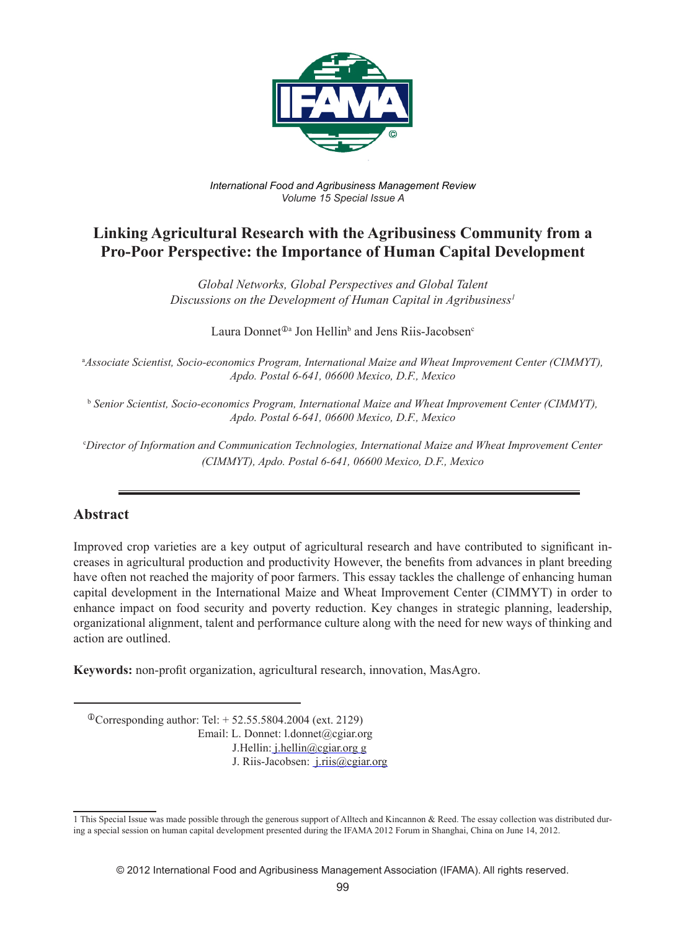

*International Food and Agribusiness Management Review Volume 15 Special Issue A*

# **Linking Agricultural Research with the Agribusiness Community from a Pro-Poor Perspective: the Importance of Human Capital Development**

*Global Networks, Global Perspectives and Global Talent Discussions on the Development of Human Capital in Agribusiness1*

Laura Donnet<sup>®</sup><sup>a</sup> Jon Hellin<sup>b</sup> and Jens Riis-Jacobsen<sup>c</sup>

a *Associate Scientist, Socio-economics Program, International Maize and Wheat Improvement Center (CIMMYT), Apdo. Postal 6-641, 06600 Mexico, D.F., Mexico* 

<sup>b</sup> *Senior Scientist, Socio-economics Program, International Maize and Wheat Improvement Center (CIMMYT), Apdo. Postal 6-641, 06600 Mexico, D.F., Mexico* 

c *Director of Information and Communication Technologies, International Maize and Wheat Improvement Center (CIMMYT), Apdo. Postal 6-641, 06600 Mexico, D.F., Mexico* 

## **Abstract**

Improved crop varieties are a key output of agricultural research and have contributed to significant increases in agricultural production and productivity However, the benefits from advances in plant breeding have often not reached the majority of poor farmers. This essay tackles the challenge of enhancing human capital development in the International Maize and Wheat Improvement Center (CIMMYT) in order to enhance impact on food security and poverty reduction. Key changes in strategic planning, leadership, organizational alignment, talent and performance culture along with the need for new ways of thinking and action are outlined.

**Keywords:** non-profit organization, agricultural research, innovation, MasAgro.

 ${}^{\circ}$ Corresponding author: Tel: + 52.55.5804.2004 (ext. 2129) Email: L. Donnet: l.donnet@cgiar.org J.Hellin: j.hellin@cgiar.org g J. Riis-Jacobsen: j.riis@cgiar.org

<sup>1</sup> This Special Issue was made possible through the generous support of Alltech and Kincannon & Reed. The essay collection was distributed during a special session on human capital development presented during the IFAMA 2012 Forum in Shanghai, China on June 14, 2012.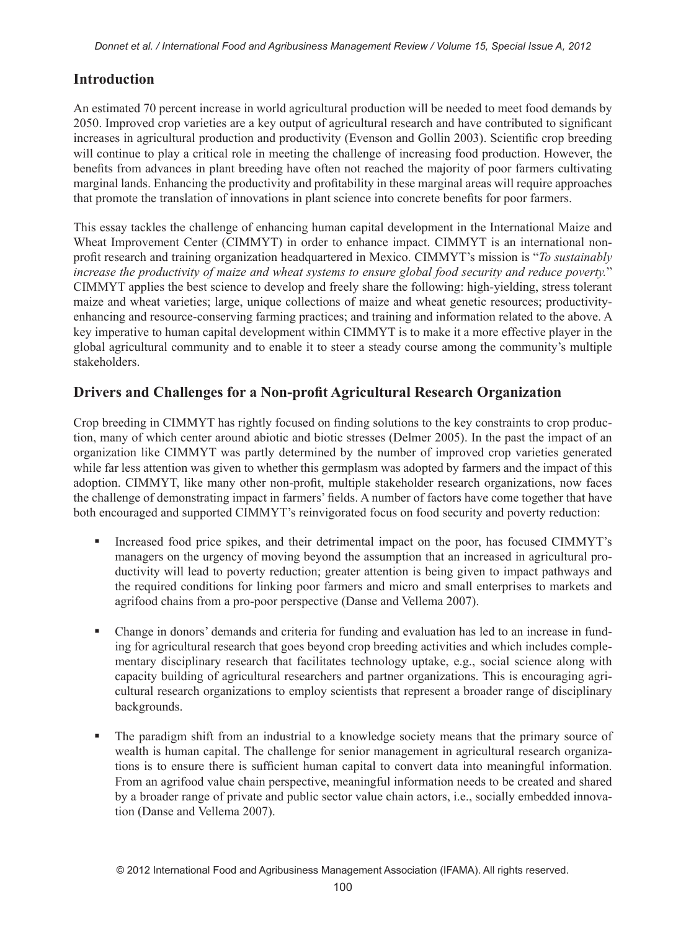## **Introduction**

An estimated 70 percent increase in world agricultural production will be needed to meet food demands by 2050. Improved crop varieties are a key output of agricultural research and have contributed to significant increases in agricultural production and productivity (Evenson and Gollin 2003). Scientific crop breeding will continue to play a critical role in meeting the challenge of increasing food production. However, the benefits from advances in plant breeding have often not reached the majority of poor farmers cultivating marginal lands. Enhancing the productivity and profitability in these marginal areas will require approaches that promote the translation of innovations in plant science into concrete benefits for poor farmers.

This essay tackles the challenge of enhancing human capital development in the International Maize and Wheat Improvement Center (CIMMYT) in order to enhance impact. CIMMYT is an international nonprofit research and training organization headquartered in Mexico. CIMMYT's mission is "*To sustainably increase the productivity of maize and wheat systems to ensure global food security and reduce poverty.*" CIMMYT applies the best science to develop and freely share the following: high-yielding, stress tolerant maize and wheat varieties; large, unique collections of maize and wheat genetic resources; productivityenhancing and resource-conserving farming practices; and training and information related to the above. A key imperative to human capital development within CIMMYT is to make it a more effective player in the global agricultural community and to enable it to steer a steady course among the community's multiple stakeholders.

## **Drivers and Challenges for a Non-profit Agricultural Research Organization**

Crop breeding in CIMMYT has rightly focused on finding solutions to the key constraints to crop production, many of which center around abiotic and biotic stresses (Delmer 2005). In the past the impact of an organization like CIMMYT was partly determined by the number of improved crop varieties generated while far less attention was given to whether this germplasm was adopted by farmers and the impact of this adoption. CIMMYT, like many other non-profit, multiple stakeholder research organizations, now faces the challenge of demonstrating impact in farmers' fields. A number of factors have come together that have both encouraged and supported CIMMYT's reinvigorated focus on food security and poverty reduction:

- Increased food price spikes, and their detrimental impact on the poor, has focused CIMMYT's managers on the urgency of moving beyond the assumption that an increased in agricultural productivity will lead to poverty reduction; greater attention is being given to impact pathways and the required conditions for linking poor farmers and micro and small enterprises to markets and agrifood chains from a pro-poor perspective (Danse and Vellema 2007).
- Change in donors' demands and criteria for funding and evaluation has led to an increase in funding for agricultural research that goes beyond crop breeding activities and which includes complementary disciplinary research that facilitates technology uptake, e.g., social science along with capacity building of agricultural researchers and partner organizations. This is encouraging agricultural research organizations to employ scientists that represent a broader range of disciplinary backgrounds.
- The paradigm shift from an industrial to a knowledge society means that the primary source of wealth is human capital. The challenge for senior management in agricultural research organizations is to ensure there is sufficient human capital to convert data into meaningful information. From an agrifood value chain perspective, meaningful information needs to be created and shared by a broader range of private and public sector value chain actors, i.e., socially embedded innovation (Danse and Vellema 2007).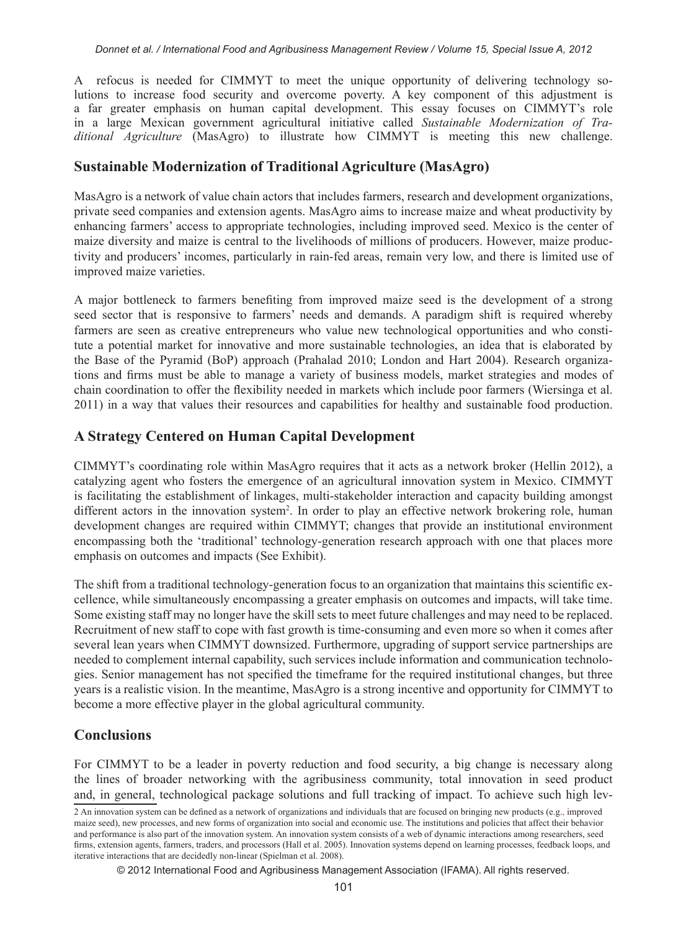A refocus is needed for CIMMYT to meet the unique opportunity of delivering technology solutions to increase food security and overcome poverty. A key component of this adjustment is a far greater emphasis on human capital development. This essay focuses on CIMMYT's role in a large Mexican government agricultural initiative called *Sustainable Modernization of Traditional Agriculture* (MasAgro) to illustrate how CIMMYT is meeting this new challenge.

## **Sustainable Modernization of Traditional Agriculture (MasAgro)**

MasAgro is a network of value chain actors that includes farmers, research and development organizations, private seed companies and extension agents. MasAgro aims to increase maize and wheat productivity by enhancing farmers' access to appropriate technologies, including improved seed. Mexico is the center of maize diversity and maize is central to the livelihoods of millions of producers. However, maize productivity and producers' incomes, particularly in rain-fed areas, remain very low, and there is limited use of improved maize varieties.

A major bottleneck to farmers benefiting from improved maize seed is the development of a strong seed sector that is responsive to farmers' needs and demands. A paradigm shift is required whereby farmers are seen as creative entrepreneurs who value new technological opportunities and who constitute a potential market for innovative and more sustainable technologies, an idea that is elaborated by the Base of the Pyramid (BoP) approach (Prahalad 2010; London and Hart 2004). Research organizations and firms must be able to manage a variety of business models, market strategies and modes of chain coordination to offer the flexibility needed in markets which include poor farmers (Wiersinga et al. 2011) in a way that values their resources and capabilities for healthy and sustainable food production.

## **A Strategy Centered on Human Capital Development**

CIMMYT's coordinating role within MasAgro requires that it acts as a network broker (Hellin 2012), a catalyzing agent who fosters the emergence of an agricultural innovation system in Mexico. CIMMYT is facilitating the establishment of linkages, multi-stakeholder interaction and capacity building amongst different actors in the innovation system<sup>2</sup>. In order to play an effective network brokering role, human development changes are required within CIMMYT; changes that provide an institutional environment encompassing both the 'traditional' technology-generation research approach with one that places more emphasis on outcomes and impacts (See Exhibit).

The shift from a traditional technology-generation focus to an organization that maintains this scientific excellence, while simultaneously encompassing a greater emphasis on outcomes and impacts, will take time. Some existing staff may no longer have the skill sets to meet future challenges and may need to be replaced. Recruitment of new staff to cope with fast growth is time-consuming and even more so when it comes after several lean years when CIMMYT downsized. Furthermore, upgrading of support service partnerships are needed to complement internal capability, such services include information and communication technologies. Senior management has not specified the timeframe for the required institutional changes, but three years is a realistic vision. In the meantime, MasAgro is a strong incentive and opportunity for CIMMYT to become a more effective player in the global agricultural community.

## **Conclusions**

For CIMMYT to be a leader in poverty reduction and food security, a big change is necessary along the lines of broader networking with the agribusiness community, total innovation in seed product and, in general, technological package solutions and full tracking of impact. To achieve such high lev-

© 2012 International Food and Agribusiness Management Association (IFAMA). All rights reserved.

<sup>2</sup> An innovation system can be defined as a network of organizations and individuals that are focused on bringing new products (e.g., improved maize seed), new processes, and new forms of organization into social and economic use. The institutions and policies that affect their behavior and performance is also part of the innovation system. An innovation system consists of a web of dynamic interactions among researchers, seed firms, extension agents, farmers, traders, and processors (Hall et al. 2005). Innovation systems depend on learning processes, feedback loops, and iterative interactions that are decidedly non-linear (Spielman et al. 2008).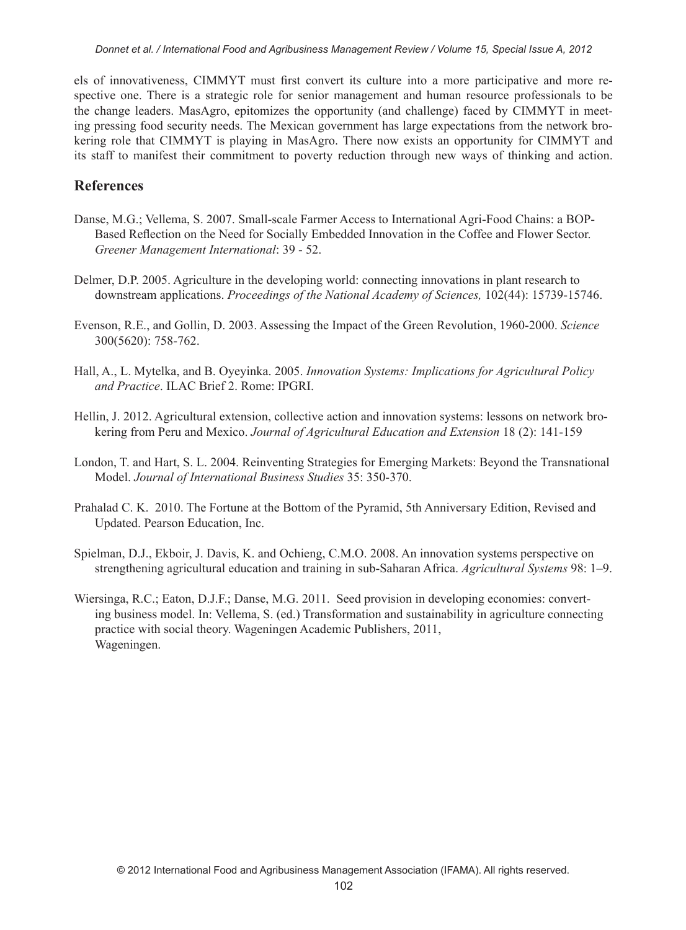els of innovativeness, CIMMYT must first convert its culture into a more participative and more respective one. There is a strategic role for senior management and human resource professionals to be the change leaders. MasAgro, epitomizes the opportunity (and challenge) faced by CIMMYT in meeting pressing food security needs. The Mexican government has large expectations from the network brokering role that CIMMYT is playing in MasAgro. There now exists an opportunity for CIMMYT and its staff to manifest their commitment to poverty reduction through new ways of thinking and action.

## **References**

- Danse, M.G.; Vellema, S. 2007. Small-scale Farmer Access to International Agri-Food Chains: a BOP-Based Reflection on the Need for Socially Embedded Innovation in the Coffee and Flower Sector. *Greener Management International*: 39 - 52.
- Delmer, D.P. 2005. Agriculture in the developing world: connecting innovations in plant research to downstream applications. *Proceedings of the National Academy of Sciences,* 102(44): 15739-15746.
- Evenson, R.E., and Gollin, D. 2003. Assessing the Impact of the Green Revolution, 1960-2000. *Science*  300(5620): 758-762.
- Hall, A., L. Mytelka, and B. Oyeyinka. 2005. *Innovation Systems: Implications for Agricultural Policy and Practice*. ILAC Brief 2. Rome: IPGRI.
- Hellin, J. 2012. Agricultural extension, collective action and innovation systems: lessons on network brokering from Peru and Mexico. *Journal of Agricultural Education and Extension* 18 (2): 141-159
- London, T. and Hart, S. L. 2004. Reinventing Strategies for Emerging Markets: Beyond the Transnational Model. *Journal of International Business Studies* 35: 350-370.
- Prahalad C. K. 2010. The Fortune at the Bottom of the Pyramid, 5th Anniversary Edition, Revised and Updated. Pearson Education, Inc.
- Spielman, D.J., Ekboir, J. Davis, K. and Ochieng, C.M.O. 2008. An innovation systems perspective on strengthening agricultural education and training in sub-Saharan Africa. *Agricultural Systems* 98: 1–9.
- Wiersinga, R.C.; Eaton, D.J.F.; Danse, M.G. 2011. Seed provision in developing economies: converting business model. In: Vellema, S. (ed.) Transformation and sustainability in agriculture connecting practice with social theory. Wageningen Academic Publishers, 2011, Wageningen.